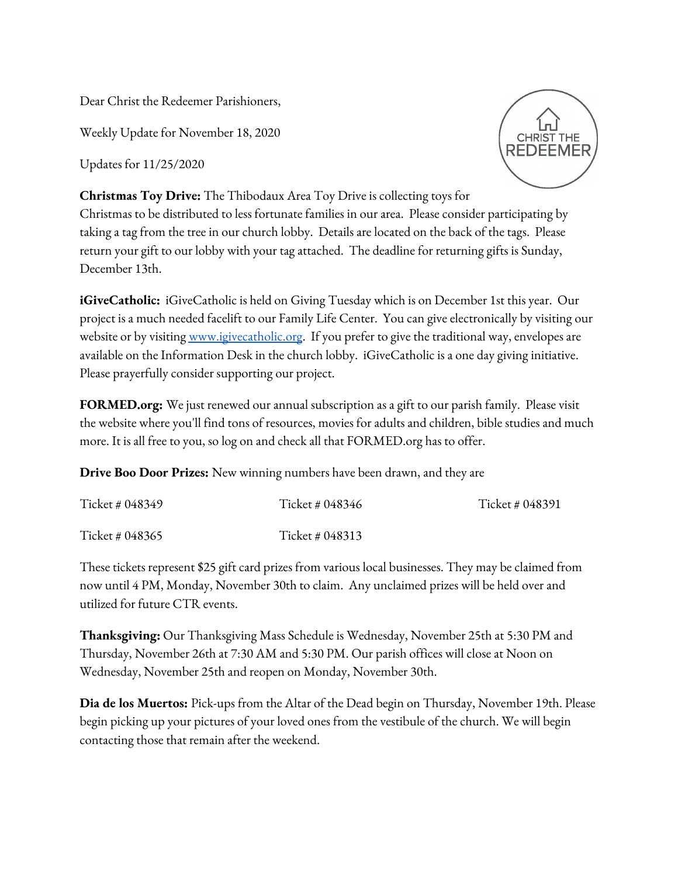Dear Christ the Redeemer Parishioners,

Weekly Update for November 18, 2020

Updates for 11/25/2020



**Christmas Toy Drive:** The Thibodaux Area Toy Drive is collecting toys for

Christmas to be distributed to less fortunate families in our area. Please consider participating by taking a tag from the tree in our church lobby. Details are located on the back of the tags. Please return your gift to our lobby with your tag attached. The deadline for returning gifts is Sunday, December 13th.

**iGiveCatholic:** iGiveCatholic is held on Giving Tuesday which is on December 1st this year. Our project is a much needed facelift to our Family Life Center. You can give electronically by visiting our website or by visitin[g](http://www.igivecatholic.org/) [www.igivecatholic.org](http://www.igivecatholic.org/). If you prefer to give the traditional way, envelopes are available on the Information Desk in the church lobby. iGiveCatholic is a one day giving initiative. Please prayerfully consider supporting our project.

**FORMED.org:** We just renewed our annual subscription as a gift to our parish family. Please visit the website where you'll find tons of resources, movies for adults and children, bible studies and much more. It is all free to you, so log on and check all that FORMED.org has to offer.

**Drive Boo Door Prizes:** New winning numbers have been drawn, and they are

| Ticket # 048349 | Ticket # 048346 | Ticket # 048391 |
|-----------------|-----------------|-----------------|
| Ticket # 048365 | Ticket # 048313 |                 |

These tickets represent \$25 gift card prizes from various local businesses. They may be claimed from now until 4 PM, Monday, November 30th to claim. Any unclaimed prizes will be held over and utilized for future CTR events.

**Thanksgiving:** Our Thanksgiving Mass Schedule is Wednesday, November 25th at 5:30 PM and Thursday, November 26th at 7:30 AM and 5:30 PM. Our parish offices will close at Noon on Wednesday, November 25th and reopen on Monday, November 30th.

**Dia de los Muertos:** Pick-ups from the Altar of the Dead begin on Thursday, November 19th. Please begin picking up your pictures of your loved ones from the vestibule of the church. We will begin contacting those that remain after the weekend.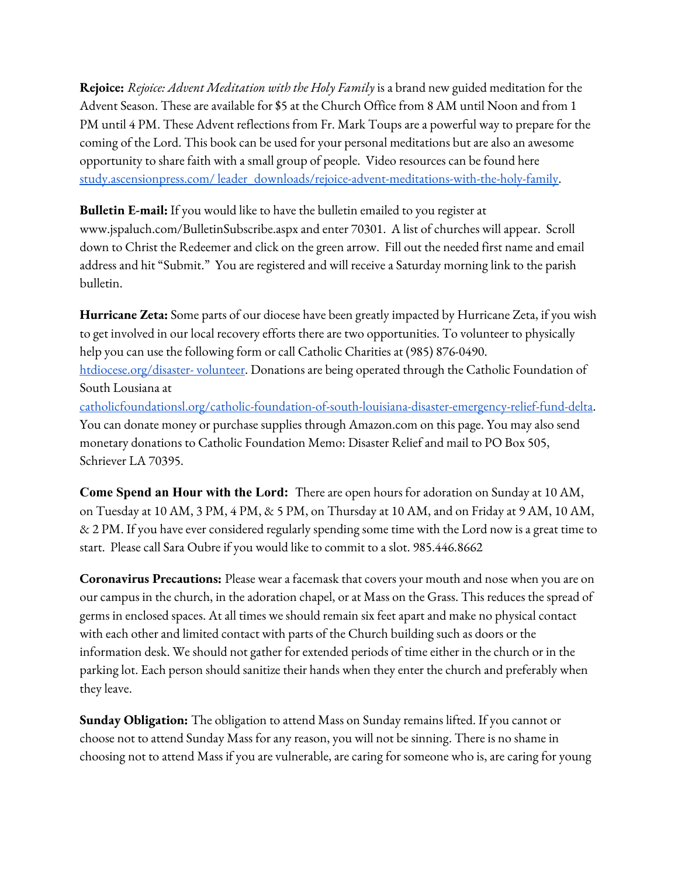**Rejoice:** *Rejoice: Advent Meditation with the Holy Family* is a brand new guided meditation for the Advent Season. These are available for \$5 at the Church Office from 8 AM until Noon and from 1 PM until 4 PM. These Advent reflections from Fr. Mark Toups are a powerful way to prepare for the coming of the Lord. This book can be used for your personal meditations but are also an awesome opportunity to share faith with a small group of people. Video resources can be found here study.ascensionpress.com/ [leader\\_downloads/rejoice-advent-meditations-with-the-holy-family.](http://study.ascensionpress.com/%20leader_downloads/rejoice-advent-meditations-with-the-holy-family)

**Bulletin E-mail:** If you would like to have the bulletin emailed to you register at [www.jspaluch.com/BulletinSubscribe.aspx](http://www.jspaluch.com/BulletinSubscribe.aspx) and enter 70301. A list of churches will appear. Scroll down to Christ the Redeemer and click on the green arrow. Fill out the needed first name and email address and hit "Submit." You are registered and will receive a Saturday morning link to the parish bulletin.

**Hurricane Zeta:** Some parts of our diocese have been greatly impacted by Hurricane Zeta, if you wish to get involved in our local recovery efforts there are two opportunities. To volunteer to physically help you can use the following form or call Catholic Charities at (985) 876-0490. [htdiocese.org/disaster-](https://htdiocese.org/disaster-volunteer) volunteer. Donations are being operated through the Catholic Foundation of South Lousiana at [catholicfoundationsl.org/catholic-foundation-of-south-louisiana-disaster-emergency-relief-fund-delta.](http://www.catholicfoundationsl.org/catholic-) You can donate money or purchase supplies through Amazon.com on this page. You may also send monetary donations to Catholic Foundation Memo: Disaster Relief and mail to PO Box 505, Schriever LA 70395.

**Come Spend an Hour with the Lord:** There are open hours for adoration on Sunday at 10 AM, on Tuesday at 10 AM, 3 PM, 4 PM, & 5 PM, on Thursday at 10 AM, and on Friday at 9 AM, 10 AM, & 2 PM. If you have ever considered regularly spending some time with the Lord now is a great time to start. Please call Sara Oubre if you would like to commit to a slot. 985.446.8662

**Coronavirus Precautions:** Please wear a facemask that covers your mouth and nose when you are on our campus in the church, in the adoration chapel, or at Mass on the Grass. This reduces the spread of germs in enclosed spaces. At all times we should remain six feet apart and make no physical contact with each other and limited contact with parts of the Church building such as doors or the information desk. We should not gather for extended periods of time either in the church or in the parking lot. Each person should sanitize their hands when they enter the church and preferably when they leave.

**Sunday Obligation:** The obligation to attend Mass on Sunday remains lifted. If you cannot or choose not to attend Sunday Mass for any reason, you will not be sinning. There is no shame in choosing not to attend Mass if you are vulnerable, are caring for someone who is, are caring for young